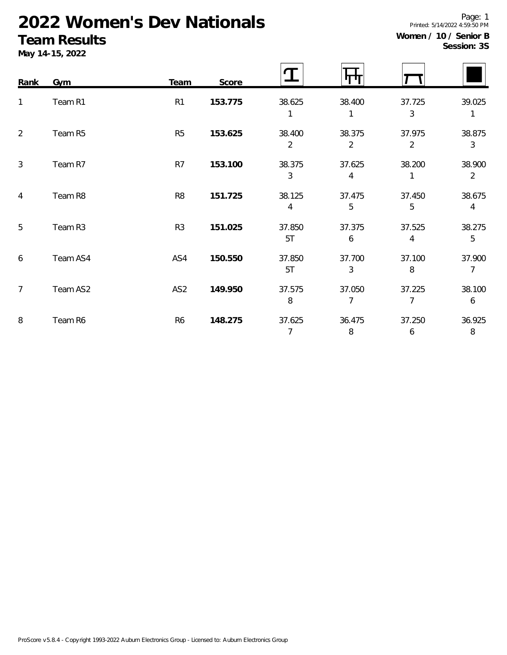# **2022 Women's Dev Nationals**

## **Team Results**

**Women / 10 / Senior B Session: 3S**

Printed: 5/14/2022 4:59:50 PM

5T 6 4 5

5T 3 8 7

8 7 7 6

7 8 6 8

Page: 1

|      | 1 GUITT I TOUGHTU<br>May 14-15, 2022 |                |         |             |                          |             | Session: 3  |  |
|------|--------------------------------------|----------------|---------|-------------|--------------------------|-------------|-------------|--|
| Rank | Gym                                  | Team           | Score   |             |                          |             |             |  |
|      | Team R1                              | R <sub>1</sub> | 153.775 | 38.625      | 38.400                   | 37.725<br>3 | 39.025      |  |
| 2    | Team R5                              | R <sub>5</sub> | 153.625 | 38.400<br>2 | 38.375<br>$\overline{2}$ | 37.975<br>2 | 38.875<br>3 |  |
| 3    | Team R7                              | R <sub>7</sub> | 153.100 | 38.375<br>3 | 37.625<br>4              | 38.200      | 38.900<br>2 |  |
| 4    | Team R8                              | R <sub>8</sub> | 151.725 | 38.125<br>4 | 37.475<br>5              | 37.450<br>5 | 38.675<br>4 |  |

5 Team R3 R3 **151.025** 37.850 37.375 37.525 38.275

6 Team AS4 AS4 **150.550** 37.850 37.700 37.100 37.900

7 Team AS2 AS2 **149.950** 37.575 37.050 37.225 38.100

8 Team R6 R6 **148.275** 37.625 36.475 37.250 36.925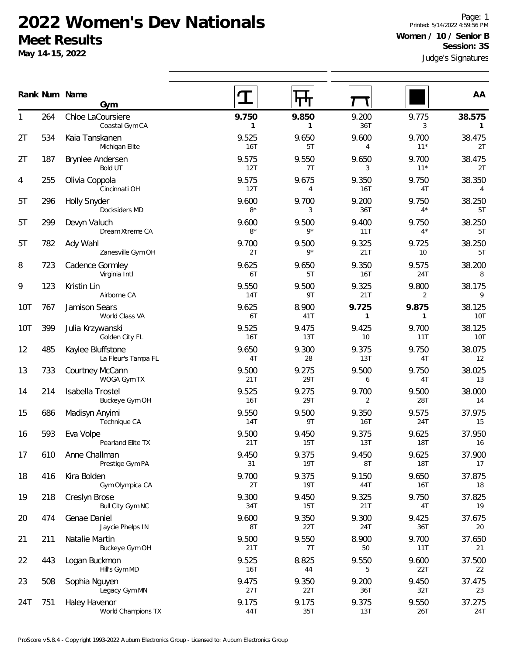#### **2022 Women's Dev Nationals Meet Results**

**May 14-15, 2022**

Judge's Signatures Page: 1 Printed: 5/14/2022 4:59:56 PM **Women / 10 / Senior B Session: 3S**

|     |     | Rank Num Name                            |                     |               |                         |                          | AA                     |
|-----|-----|------------------------------------------|---------------------|---------------|-------------------------|--------------------------|------------------------|
|     |     | Gym                                      |                     |               |                         |                          |                        |
| 1   | 264 | Chloe LaCoursiere<br>Coastal Gym CA      | 9.750<br>1          | 9.850<br>1    | 9.200<br>36T            | 9.775<br>3               | 38.575<br>$\mathbf{1}$ |
| 2T  | 534 | Kaia Tanskanen<br>Michigan Elite         | 9.525<br>16T        | 9.650<br>5T   | 9.600<br>$\overline{4}$ | 9.700<br>$11*$           | 38.475<br>2T           |
| 2T  | 187 | Brynlee Andersen<br><b>Bold UT</b>       | 9.575<br>12T        | 9.550<br>7T   | 9.650<br>3              | 9.700<br>$11*$           | 38.475<br>2T           |
| 4   | 255 | Olivia Coppola<br>Cincinnati OH          | 9.575<br>12T        | 9.675<br>4    | 9.350<br><b>16T</b>     | 9.750<br>4T              | 38.350<br>4            |
| 5T  | 296 | <b>Holly Snyder</b><br>Docksiders MD     | 9.600<br>$8*$       | 9.700<br>3    | 9.200<br>36T            | 9.750<br>$4^*$           | 38.250<br>5T           |
| 5T  | 299 | Devyn Valuch<br>Dream Xtreme CA          | 9.600<br>$8*$       | 9.500<br>$9*$ | 9.400<br>11T            | 9.750<br>$4^*$           | 38.250<br>5T           |
| 5T  | 782 | Ady Wahl<br>Zanesville Gym OH            | 9.700<br>2T         | 9.500<br>$9*$ | 9.325<br>21T            | 9.725<br>10 <sup>°</sup> | 38.250<br>5T           |
| 8   | 723 | Cadence Gormley<br>Virginia Intl         | 9.625<br>6T         | 9.650<br>5T   | 9.350<br><b>16T</b>     | 9.575<br>24T             | 38.200<br>8            |
| 9   | 123 | Kristin Lin<br>Airborne CA               | 9.550<br><b>14T</b> | 9.500<br>9T   | 9.325<br>21T            | 9.800<br>2               | 38.175<br>9            |
| 10T | 767 | Jamison Sears<br>World Class VA          | 9.625<br>6T         | 8.900<br>41T  | 9.725<br>$\mathbf{1}$   | 9.875<br>$\mathbf{1}$    | 38.125<br>10T          |
| 10T | 399 | Julia Krzywanski<br>Golden City FL       | 9.525<br>16T        | 9.475<br>13T  | 9.425<br>10             | 9.700<br>11T             | 38.125<br>10T          |
| 12  | 485 | Kaylee Bluffstone<br>La Fleur's Tampa FL | 9.650<br>4T         | 9.300<br>28   | 9.375<br>13T            | 9.750<br>4T              | 38.075<br>12           |
| 13  | 733 | Courtney McCann<br>WOGA Gym TX           | 9.500<br>21T        | 9.275<br>29T  | 9.500<br>6              | 9.750<br>4T              | 38.025<br>13           |
| 14  | 214 | Isabella Trostel<br>Buckeye Gym OH       | 9.525<br>16T        | 9.275<br>29T  | 9.700<br>2              | 9.500<br>28T             | 38.000<br>14           |
| 15  | 686 | Madisyn Anyimi<br>Technique CA           | 9.550<br>14T        | 9.500<br>9T   | 9.350<br><b>16T</b>     | 9.575<br>24T             | 37.975<br>15           |
| 16  | 593 | Eva Volpe<br>Pearland Elite TX           | 9.500<br>21T        | 9.450<br>15T  | 9.375<br>13T            | 9.625<br><b>18T</b>      | 37.950<br>16           |
| 17  | 610 | Anne Challman<br>Prestige Gym PA         | 9.450<br>31         | 9.375<br>19T  | 9.450<br>8T             | 9.625<br>18T             | 37.900<br>17           |
| 18  | 416 | Kira Bolden<br>Gym Olympica CA           | 9.700<br>2T         | 9.375<br>19T  | 9.150<br>44T            | 9.650<br>16T             | 37.875<br>18           |
| 19  | 218 | Creslyn Brose<br>Bull City Gym NC        | 9.300<br>34T        | 9.450<br>15T  | 9.325<br>21T            | 9.750<br>4T              | 37.825<br>19           |
| 20  | 474 | Genae Daniel<br>Jaycie Phelps IN         | 9.600<br>8T         | 9.350<br>22T  | 9.300<br>24T            | 9.425<br>36T             | 37.675<br>20           |
| 21  | 211 | Natalie Martin<br>Buckeye Gym OH         | 9.500<br>21T        | 9.550<br>7T   | 8.900<br>50             | 9.700<br>11T             | 37.650<br>21           |
| 22  | 443 | Logan Buckmon<br>Hill's Gym MD           | 9.525<br><b>16T</b> | 8.825<br>44   | 9.550<br>5              | 9.600<br>22T             | 37.500<br>22           |
| 23  | 508 | Sophia Nguyen<br>Legacy Gym MN           | 9.475<br>27T        | 9.350<br>22T  | 9.200<br>36T            | 9.450<br>32T             | 37.475<br>23           |
| 24T | 751 | Haley Havenor<br>World Champions TX      | 9.175<br>44T        | 9.175<br>35T  | 9.375<br>13T            | 9.550<br>26T             | 37.275<br>24T          |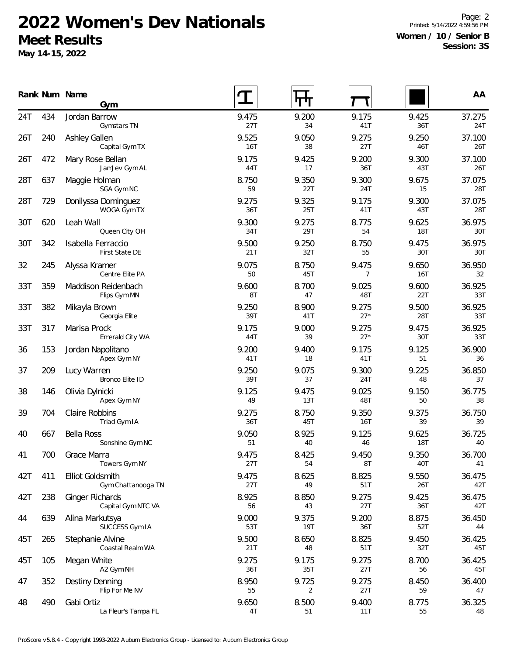## **2022 Women's Dev Nationals Meet Results**

**May 14-15, 2022**

Page: 2 Printed: 5/14/2022 4:59:56 PM **Women / 10 / Senior B Session: 3S**

|     |     | Rank Num Name<br>Gym                          |                     |              |                         |                     | AA            |
|-----|-----|-----------------------------------------------|---------------------|--------------|-------------------------|---------------------|---------------|
| 24T | 434 | Jordan Barrow<br>Gymstars TN                  | 9.475<br>27T        | 9.200<br>34  | 9.175<br>41T            | 9.425<br>36T        | 37.275<br>24T |
| 26T | 240 | Ashley Gallen<br>Capital Gym TX               | 9.525<br><b>16T</b> | 9.050<br>38  | 9.275<br>27T            | 9.250<br>46T        | 37.100<br>26T |
| 26T | 472 | Mary Rose Bellan<br>JamJev Gym AL             | 9.175<br>44T        | 9.425<br>17  | 9.200<br>36T            | 9.300<br>43T        | 37.100<br>26T |
| 28T | 637 | Maggie Holman<br>SGA Gym NC                   | 8.750<br>59         | 9.350<br>22T | 9.300<br>24T            | 9.675<br>15         | 37.075<br>28T |
| 28T | 729 | Donilyssa Dominguez<br>WOGA Gym TX            | 9.275<br>36T        | 9.325<br>25T | 9.175<br>41T            | 9.300<br>43T        | 37.075<br>28T |
| 30T | 620 | Leah Wall<br>Queen City OH                    | 9.300<br>34T        | 9.275<br>29T | 8.775<br>54             | 9.625<br>18T        | 36.975<br>30T |
| 30T | 342 | Isabella Ferraccio<br>First State DE          | 9.500<br>21T        | 9.250<br>32T | 8.750<br>55             | 9.475<br>30T        | 36.975<br>30T |
| 32  | 245 | Alyssa Kramer<br>Centre Elite PA              | 9.075<br>50         | 8.750<br>45T | 9.475<br>$\overline{7}$ | 9.650<br>16T        | 36.950<br>32  |
| 33T | 359 | Maddison Reidenbach<br>Flips Gym MN           | 9.600<br>8T         | 8.700<br>47  | 9.025<br>48T            | 9.600<br>22T        | 36.925<br>33T |
| 33T | 382 | Mikayla Brown<br>Georgia Elite                | 9.250<br>39T        | 8.900<br>41T | 9.275<br>$27*$          | 9.500<br>28T        | 36.925<br>33T |
| 33T | 317 | Marisa Prock<br>Emerald City WA               | 9.175<br>44T        | 9.000<br>39  | 9.275<br>$27*$          | 9.475<br>30T        | 36.925<br>33T |
| 36  | 153 | Jordan Napolitano<br>Apex Gym NY              | 9.200<br>41T        | 9.400<br>18  | 9.175<br>41T            | 9.125<br>51         | 36.900<br>36  |
| 37  | 209 | Lucy Warren<br>Bronco Elite ID                | 9.250<br>39T        | 9.075<br>37  | 9.300<br>24T            | 9.225<br>48         | 36.850<br>37  |
| 38  | 146 | Olivia Dylnicki<br>Apex Gym NY                | 9.125<br>49         | 9.475<br>13T | 9.025<br>48T            | 9.150<br>50         | 36.775<br>38  |
| 39  | 704 | Claire Robbins<br>Triad Gym IA                | 9.275<br>36T        | 8.750<br>45T | 9.350<br>16T            | 9.375<br>39         | 36.750<br>39  |
| 40  | 667 | <b>Bella Ross</b><br>Sonshine Gym NC          | 9.050<br>51         | 8.925<br>40  | 9.125<br>46             | 9.625<br><b>18T</b> | 36.725<br>40  |
| 41  | 700 | Grace Marra<br>Towers Gym NY                  | 9.475<br>27T        | 8.425<br>54  | 9.450<br>8T             | 9.350<br>40T        | 36.700<br>41  |
| 42T | 411 | <b>Elliot Goldsmith</b><br>Gym Chattanooga TN | 9.475<br>27T        | 8.625<br>49  | 8.825<br>51T            | 9.550<br>26T        | 36.475<br>42T |
| 42T | 238 | Ginger Richards<br>Capital Gym NTC VA         | 8.925<br>56         | 8.850<br>43  | 9.275<br>27T            | 9.425<br>36T        | 36.475<br>42T |
| 44  | 639 | Alina Markutsya<br>SUCCESS Gym IA             | 9.000<br>53T        | 9.375<br>19T | 9.200<br>36T            | 8.875<br>52T        | 36.450<br>44  |
| 45T | 265 | Stephanie Alvine<br>Coastal Realm WA          | 9.500<br>21T        | 8.650<br>48  | 8.825<br>51T            | 9.450<br>32T        | 36.425<br>45T |
| 45T | 105 | Megan White<br>A2 Gym NH                      | 9.275<br>36T        | 9.175<br>35T | 9.275<br>27T            | 8.700<br>56         | 36.425<br>45T |
| 47  | 352 | Destiny Denning<br>Flip For Me NV             | 8.950<br>55         | 9.725<br>2   | 9.275<br>27T            | 8.450<br>59         | 36.400<br>47  |
| 48  | 490 | Gabi Ortiz<br>La Fleur's Tampa FL             | 9.650<br>4T         | 8.500<br>51  | 9.400<br>11T            | 8.775<br>55         | 36.325<br>48  |